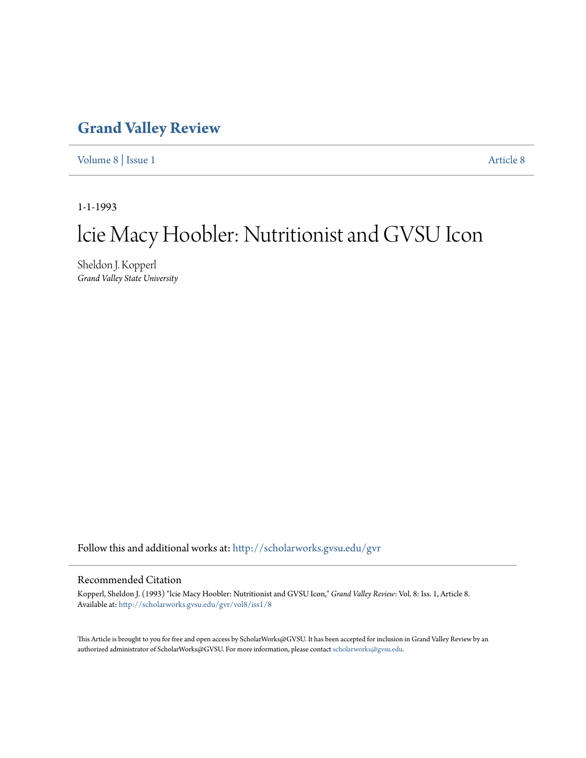## **[Grand Valley Review](http://scholarworks.gvsu.edu/gvr?utm_source=scholarworks.gvsu.edu%2Fgvr%2Fvol8%2Fiss1%2F8&utm_medium=PDF&utm_campaign=PDFCoverPages)**

[Volume 8](http://scholarworks.gvsu.edu/gvr/vol8?utm_source=scholarworks.gvsu.edu%2Fgvr%2Fvol8%2Fiss1%2F8&utm_medium=PDF&utm_campaign=PDFCoverPages) | [Issue 1](http://scholarworks.gvsu.edu/gvr/vol8/iss1?utm_source=scholarworks.gvsu.edu%2Fgvr%2Fvol8%2Fiss1%2F8&utm_medium=PDF&utm_campaign=PDFCoverPages) [Article 8](http://scholarworks.gvsu.edu/gvr/vol8/iss1/8?utm_source=scholarworks.gvsu.edu%2Fgvr%2Fvol8%2Fiss1%2F8&utm_medium=PDF&utm_campaign=PDFCoverPages)

1-1-1993

# lcie Macy Hoobler: Nutritionist and GVSU Icon

Sheldon J. Kopperl *Grand Valley State University*

Follow this and additional works at: [http://scholarworks.gvsu.edu/gvr](http://scholarworks.gvsu.edu/gvr?utm_source=scholarworks.gvsu.edu%2Fgvr%2Fvol8%2Fiss1%2F8&utm_medium=PDF&utm_campaign=PDFCoverPages)

#### Recommended Citation

Kopperl, Sheldon J. (1993) "lcie Macy Hoobler: Nutritionist and GVSU Icon," *Grand Valley Review*: Vol. 8: Iss. 1, Article 8. Available at: [http://scholarworks.gvsu.edu/gvr/vol8/iss1/8](http://scholarworks.gvsu.edu/gvr/vol8/iss1/8?utm_source=scholarworks.gvsu.edu%2Fgvr%2Fvol8%2Fiss1%2F8&utm_medium=PDF&utm_campaign=PDFCoverPages)

This Article is brought to you for free and open access by ScholarWorks@GVSU. It has been accepted for inclusion in Grand Valley Review by an authorized administrator of ScholarWorks@GVSU. For more information, please contact [scholarworks@gvsu.edu.](mailto:scholarworks@gvsu.edu)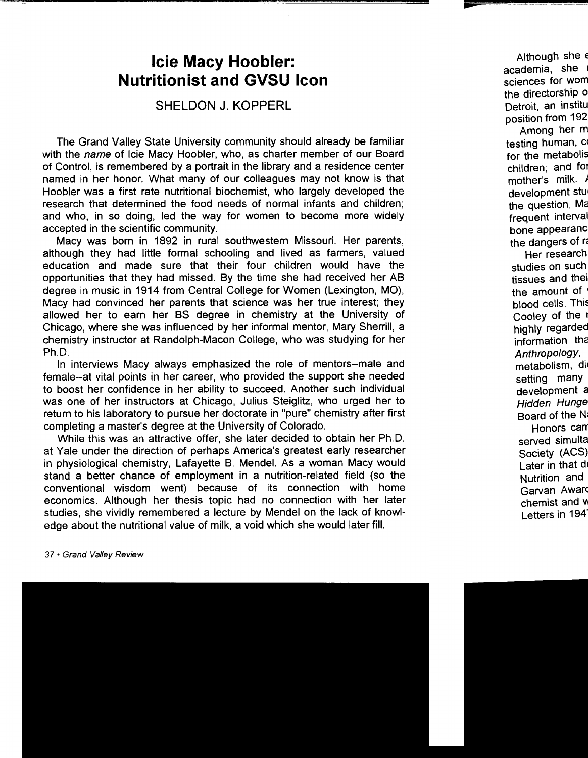## **lcie Macy Hoobler: Nutritionist and GVSU Icon**

### **SHELDON J. KOPPERL**

The Grand Valley State University community should already be familiar with the name of Icie Macy Hoobler, who, as charter member of our Board of Control, is remembered by a portrait in the library and a residence center named in her honor. What many of our colleagues may not know is that Hoobler was a first rate nutritional biochemist, who largely developed the research that determined the food needs of normal infants and children; and who, in so doing, led the way for women to become more widely accepted in the scientific community.

Macy was born in 1892 in rural southwestern Missouri. Her parents, although they had little formal schooling and lived as farmers, valued education and made sure that their four children would have the opportunities that they had missed. By the time she had received her AB degree in music in 1914 from Central College for Women (Lexington, MO), Macy had convinced her parents that science was her true interest; they allowed her to earn her BS degree in chemistry at the University of Chicago, where she was influenced by her informal mentor, Mary Sherrill, a chemistry instructor at Randolph-Macon College, who was studying for her Ph.D.

In interviews Macy always emphasized the role of mentors--male and female--at vital points in her career, who provided the support she needed to boost her confidence in her ability to succeed. Another such individual was one of her instructors at Chicago, Julius Steiglitz, who urged her to return to his laboratory to pursue her doctorate in "pure" chemistry after first completing a master's degree at the University of Colorado.

While this was an attractive offer, she later decided to obtain her Ph.D. at Yale under the direction of perhaps America's greatest early researcher in physiological chemistry, Lafayette B. Mendel. As a woman Macy would stand a better chance of employment in a nutrition-related field (so the conventional wisdom went) because of its connection with home economics. Although her thesis topic had no connection with her later studies, she vividly remembered a lecture by Mendel on the lack of knowledge about the nutritional value of milk, a void which she would later fill.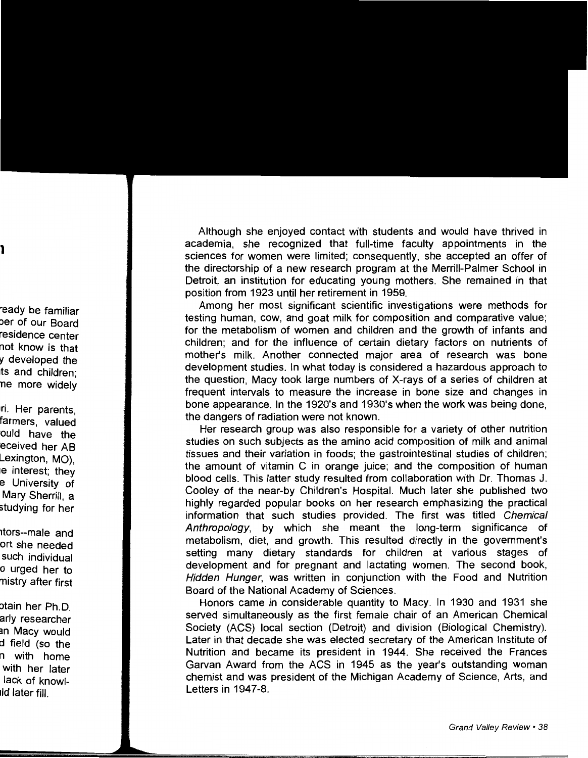Although she enjoyed contact with students and would have thrived in academia, she recognized that full-time faculty appointments in the sciences for women were limited; consequently, she accepted an offer of the directorship of a new research program at the Merrill-Palmer School in Detroit, an institution for educating young mothers. She remained in that position from 1923 until her retirement in 1959.

Among her most significant scientific investigations were methods for testing human, cow, and goat milk for composition and comparative value; for the metabolism of women and children and the growth of infants and children; and for the influence of certain dietary factors on nutrients of mother's milk. Another connected major area of research was bone development studies. In what today is considered a hazardous approach to the question, Macy took large numbers of X-rays of a series of children at frequent intervals to measure the increase in bone size and changes in bone appearance. In the 1920's and 1930's when the work was being done, the dangers of radiation were not known.

Her research group was also responsible for a variety of other nutrition studies on such subjects as the amino acid composition of milk and animal tissues and their variation in foods; the gastrointestinal studies of children; the amount of vitamin C in orange juice; and the composition of human blood cells. This latter study resulted from collaboration with Dr. Thomas J. Cooley of the near-by Children's Hospital. Much later she published two highly regarded popular books on her research emphasizing the practical information that such studies provided. The first was titled Chemical Anthropology, by which she meant the long-term significance of metabolism, diet, and growth. This resulted directly in the government's setting many dietary standards for children at various stages of development and for pregnant and lactating women. The second book, Hidden Hunger, was written in conjunction with the Food and Nutrition Board of the National Academy of Sciences.

Honors came in considerable quantity to Macy. In 1930 and 1931 she served simultaneously as the first female chair of an American Chemical Society (ACS) local section (Detroit) and division (Biological Chemistry). Later in that decade she was elected secretary of the American Institute of Nutrition and became its president in 1944. She received the Frances Garvan Award from the ACS in 1945 as the year's outstanding woman chemist and was president of the Michigan Academy of Science, Arts, and Letters in 1947-8.